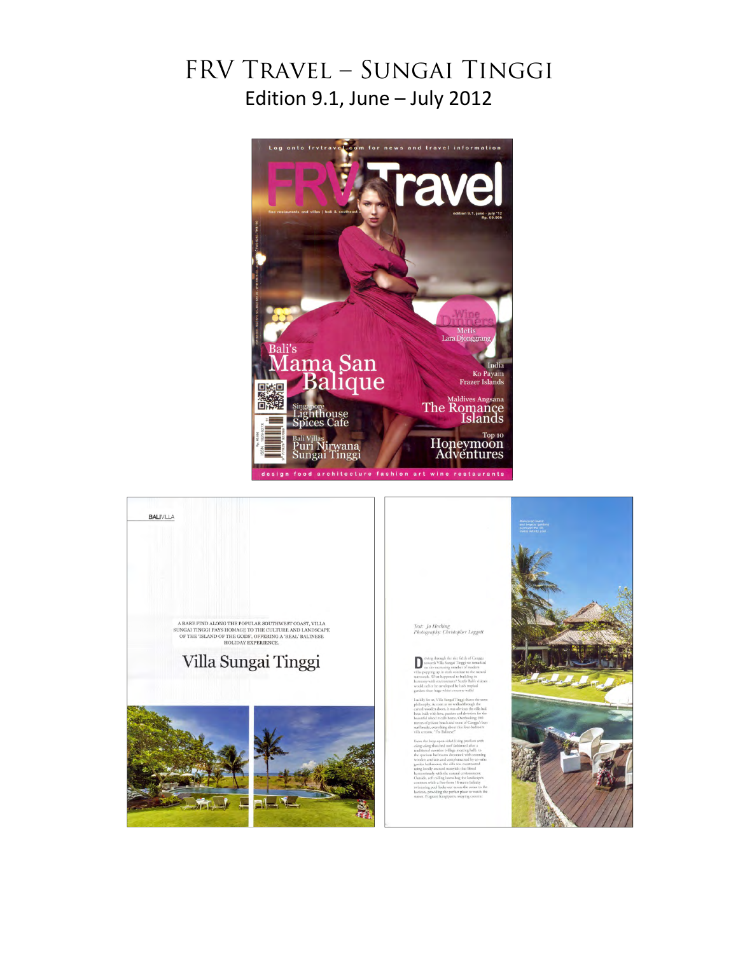## FRV Travel – Sungai Tinggi Edition 9.1, June – July 2012



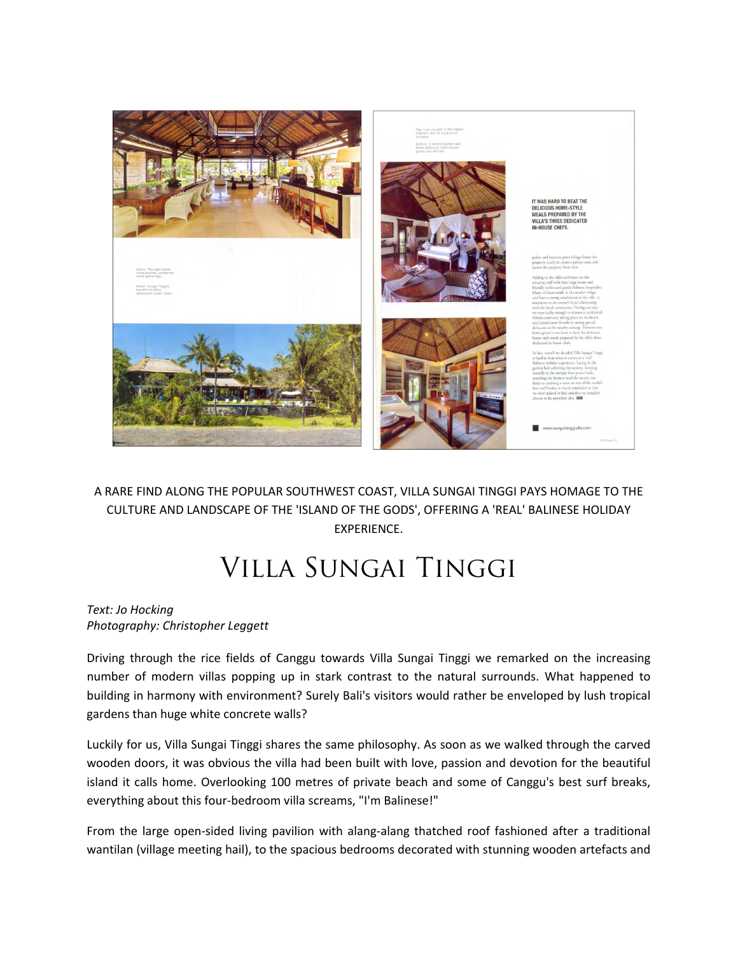

## A RARE FIND ALONG THE POPULAR SOUTHWEST COAST, VILLA SUNGAI TINGGI PAYS HOMAGE TO THE CULTURE AND LANDSCAPE OF THE 'ISLAND OF THE GODS', OFFERING A 'REAL' BALINESE HOLIDAY EXPERIENCE.

## Villa Sungai Tinggi

## *Text: Jo Hocking Photography: Christopher Leggett*

Driving through the rice fields of Canggu towards Villa Sungai Tinggi we remarked on the increasing number of modern villas popping up in stark contrast to the natural surrounds. What happened to building in harmony with environment? Surely Bali's visitors would rather be enveloped by lush tropical gardens than huge white concrete walls?

Luckily for us, Villa Sungai Tinggi shares the same philosophy. As soon as we walked through the carved wooden doors, it was obvious the villa had been built with love, passion and devotion for the beautiful island it calls home. Overlooking 100 metres of private beach and some of Canggu's best surf breaks, everything about this four‐bedroom villa screams, "I'm Balinese!"

From the large open-sided living pavilion with alang-alang thatched roof fashioned after a traditional wantilan (village meeting hail), to the spacious bedrooms decorated with stunning wooden artefacts and